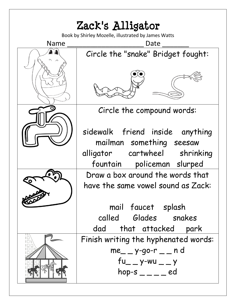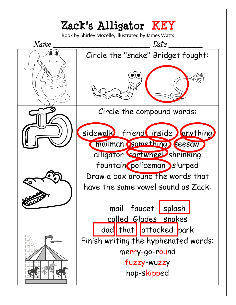